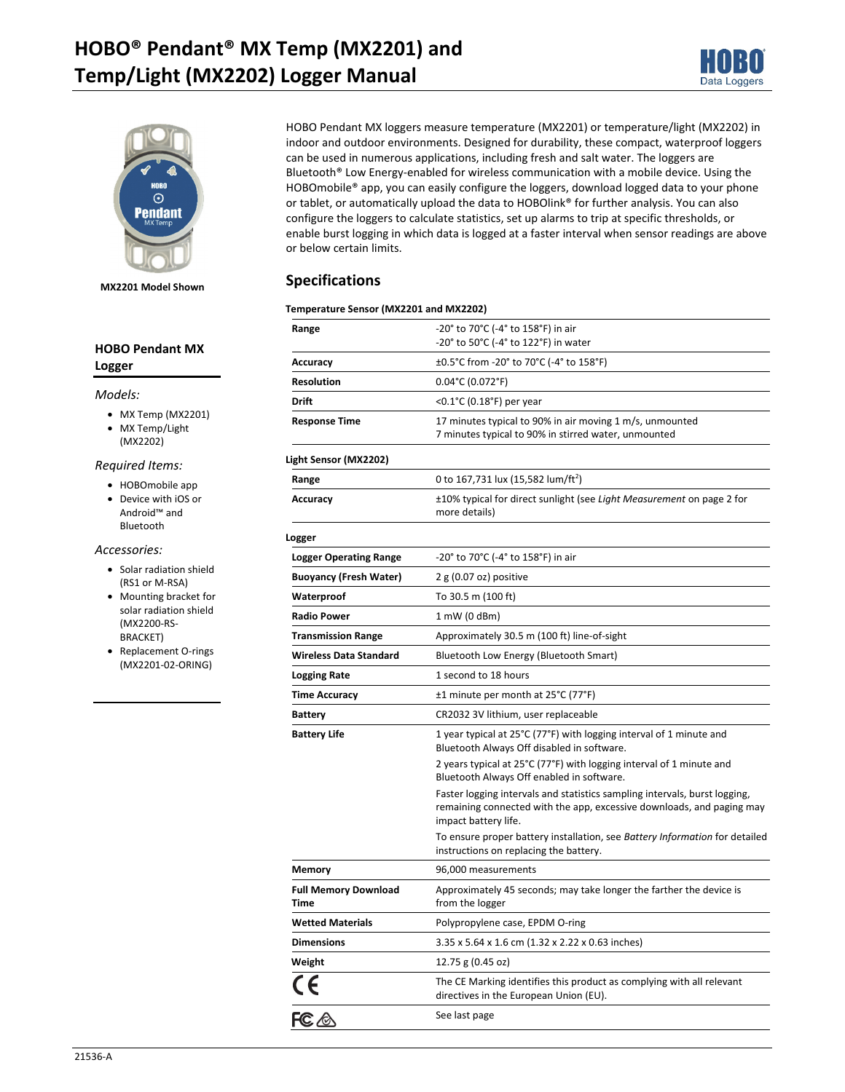# **HOBO® Pendant® MX Temp (MX2201) and Temp/Light (MX2202) Logger Manual**





**MX2201 Model Shown** 

### **HOBO Pendant MX Logger**

#### *Models:*

- MX Temp (MX2201)
- MX Temp/Light (MX2202)

#### *Required Items:*

- HOBOmobile app
- Device with iOS or Android™ and Bluetooth

#### *Accessories:*

- Solar radiation shield (RS1 or M-RSA)
- Mounting bracket for solar radiation shield (MX2200-RS-BRACKET)
- Replacement O-rings (MX2201-02-ORING)

HOBO Pendant MX loggers measure temperature (MX2201) or temperature/light (MX2202) in indoor and outdoor environments. Designed for durability, these compact, waterproof loggers can be used in numerous applications, including fresh and salt water. The loggers are Bluetooth® Low Energy-enabled for wireless communication with a mobile device. Using the HOBOmobile® app, you can easily configure the loggers, download logged data to your phone or tablet, or automatically upload the data to HOBOlink® for further analysis. You can also configure the loggers to calculate statistics, set up alarms to trip at specific thresholds, or enable burst logging in which data is logged at a faster interval when sensor readings are above or below certain limits.

### **Specifications**

#### **Temperature Sensor (MX2201 and MX2202)**

| Range                               | -20° to 70°C (-4° to 158°F) in air<br>-20° to 50°C (-4° to 122°F) in water                                                                                                  |
|-------------------------------------|-----------------------------------------------------------------------------------------------------------------------------------------------------------------------------|
| Accuracy                            | ±0.5°C from -20° to 70°C (-4° to 158°F)                                                                                                                                     |
| <b>Resolution</b>                   | $0.04^{\circ}$ C (0.072°F)                                                                                                                                                  |
| Drift                               | <0.1°C (0.18°F) per year                                                                                                                                                    |
| <b>Response Time</b>                | 17 minutes typical to 90% in air moving 1 m/s, unmounted<br>7 minutes typical to 90% in stirred water, unmounted                                                            |
| Light Sensor (MX2202)               |                                                                                                                                                                             |
| Range                               | 0 to 167,731 lux (15,582 lum/ft <sup>2</sup> )                                                                                                                              |
| Accuracy                            | ±10% typical for direct sunlight (see Light Measurement on page 2 for<br>more details)                                                                                      |
| Logger                              |                                                                                                                                                                             |
| <b>Logger Operating Range</b>       | -20° to 70°C (-4° to 158°F) in air                                                                                                                                          |
| <b>Buoyancy (Fresh Water)</b>       | $2 g (0.07 oz)$ positive                                                                                                                                                    |
| Waterproof                          | To 30.5 m (100 ft)                                                                                                                                                          |
| <b>Radio Power</b>                  | $1 \text{ mW}$ (0 dBm)                                                                                                                                                      |
| <b>Transmission Range</b>           | Approximately 30.5 m (100 ft) line-of-sight                                                                                                                                 |
| <b>Wireless Data Standard</b>       | Bluetooth Low Energy (Bluetooth Smart)                                                                                                                                      |
| <b>Logging Rate</b>                 | 1 second to 18 hours                                                                                                                                                        |
| <b>Time Accuracy</b>                | ±1 minute per month at 25°C (77°F)                                                                                                                                          |
| <b>Battery</b>                      | CR2032 3V lithium, user replaceable                                                                                                                                         |
| <b>Battery Life</b>                 | 1 year typical at 25°C (77°F) with logging interval of 1 minute and<br>Bluetooth Always Off disabled in software.                                                           |
|                                     | 2 years typical at 25°C (77°F) with logging interval of 1 minute and<br>Bluetooth Always Off enabled in software.                                                           |
|                                     | Faster logging intervals and statistics sampling intervals, burst logging,<br>remaining connected with the app, excessive downloads, and paging may<br>impact battery life. |
|                                     | To ensure proper battery installation, see Battery Information for detailed<br>instructions on replacing the battery.                                                       |
| Memory                              | 96,000 measurements                                                                                                                                                         |
| <b>Full Memory Download</b><br>Time | Approximately 45 seconds; may take longer the farther the device is<br>from the logger                                                                                      |
| <b>Wetted Materials</b>             | Polypropylene case, EPDM O-ring                                                                                                                                             |
| <b>Dimensions</b>                   | 3.35 x 5.64 x 1.6 cm (1.32 x 2.22 x 0.63 inches)                                                                                                                            |
| Weight                              | 12.75 g (0.45 oz)                                                                                                                                                           |
|                                     | The CE Marking identifies this product as complying with all relevant<br>directives in the European Union (EU).                                                             |
| FC A                                | See last page                                                                                                                                                               |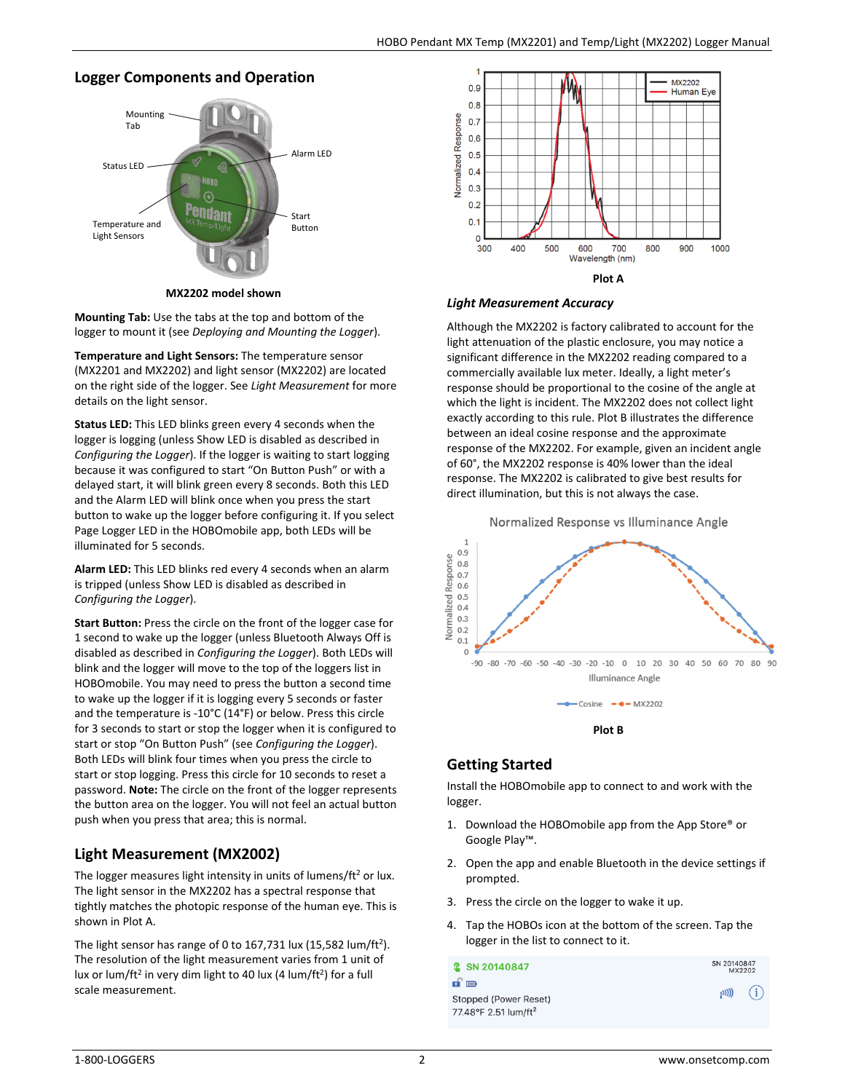### **Logger Components and Operation**



**MX2202 model shown** 

**Mounting Tab:** Use the tabs at the top and bottom of the logger to mount it (see *Deploying and Mounting the Logger*).

**Temperature and Light Sensors:** The temperature sensor (MX2201 and MX2202) and light sensor (MX2202) are located on the right side of the logger. See *Light Measurement* for more details on the light sensor.

**Status LED:** This LED blinks green every 4 seconds when the logger is logging (unless Show LED is disabled as described in *Configuring the Logger*). If the logger is waiting to start logging because it was configured to start "On Button Push" or with a delayed start, it will blink green every 8 seconds. Both this LED and the Alarm LED will blink once when you press the start button to wake up the logger before configuring it. If you select Page Logger LED in the HOBOmobile app, both LEDs will be illuminated for 5 seconds.

**Alarm LED:** This LED blinks red every 4 seconds when an alarm is tripped (unless Show LED is disabled as described in *Configuring the Logger*).

**Start Button:** Press the circle on the front of the logger case for 1 second to wake up the logger (unless Bluetooth Always Off is disabled as described in *Configuring the Logger*). Both LEDs will blink and the logger will move to the top of the loggers list in HOBOmobile. You may need to press the button a second time to wake up the logger if it is logging every 5 seconds or faster and the temperature is -10°C (14°F) or below. Press this circle for 3 seconds to start or stop the logger when it is configured to start or stop "On Button Push" (see *Configuring the Logger*). Both LEDs will blink four times when you press the circle to start or stop logging. Press this circle for 10 seconds to reset a password. **Note:** The circle on the front of the logger represents the button area on the logger. You will not feel an actual button push when you press that area; this is normal.

## **Light Measurement (MX2002)**

The logger measures light intensity in units of lumens/ $ft<sup>2</sup>$  or lux. The light sensor in the MX2202 has a spectral response that tightly matches the photopic response of the human eye. This is shown in Plot A.

The light sensor has range of 0 to 167,731 lux (15,582 lum/ft<sup>2</sup>). The resolution of the light measurement varies from 1 unit of lux or lum/ft<sup>2</sup> in very dim light to 40 lux (4 lum/ft<sup>2</sup>) for a full scale measurement.



#### *Light Measurement Accuracy*

Although the MX2202 is factory calibrated to account for the light attenuation of the plastic enclosure, you may notice a significant difference in the MX2202 reading compared to a commercially available lux meter. Ideally, a light meter's response should be proportional to the cosine of the angle at which the light is incident. The MX2202 does not collect light exactly according to this rule. Plot B illustrates the difference between an ideal cosine response and the approximate response of the MX2202. For example, given an incident angle of 60°, the MX2202 response is 40% lower than the ideal response. The MX2202 is calibrated to give best results for direct illumination, but this is not always the case.



### **Getting Started**

Install the HOBOmobile app to connect to and work with the logger.

- 1. Download the HOBOmobile app from the App Store® or Google Play™.
- 2. Open the app and enable Bluetooth in the device settings if prompted.
- 3. Press the circle on the logger to wake it up.
- 4. Tap the HOBOs icon at the bottom of the screen. Tap the logger in the list to connect to it.

| <b>Q</b> SN 20140847                                              | SN 20140847<br>MX2202 |
|-------------------------------------------------------------------|-----------------------|
| nî o<br>Stopped (Power Reset)<br>77.48°F 2.51 lum/ft <sup>2</sup> | $(1)$ $(i)$           |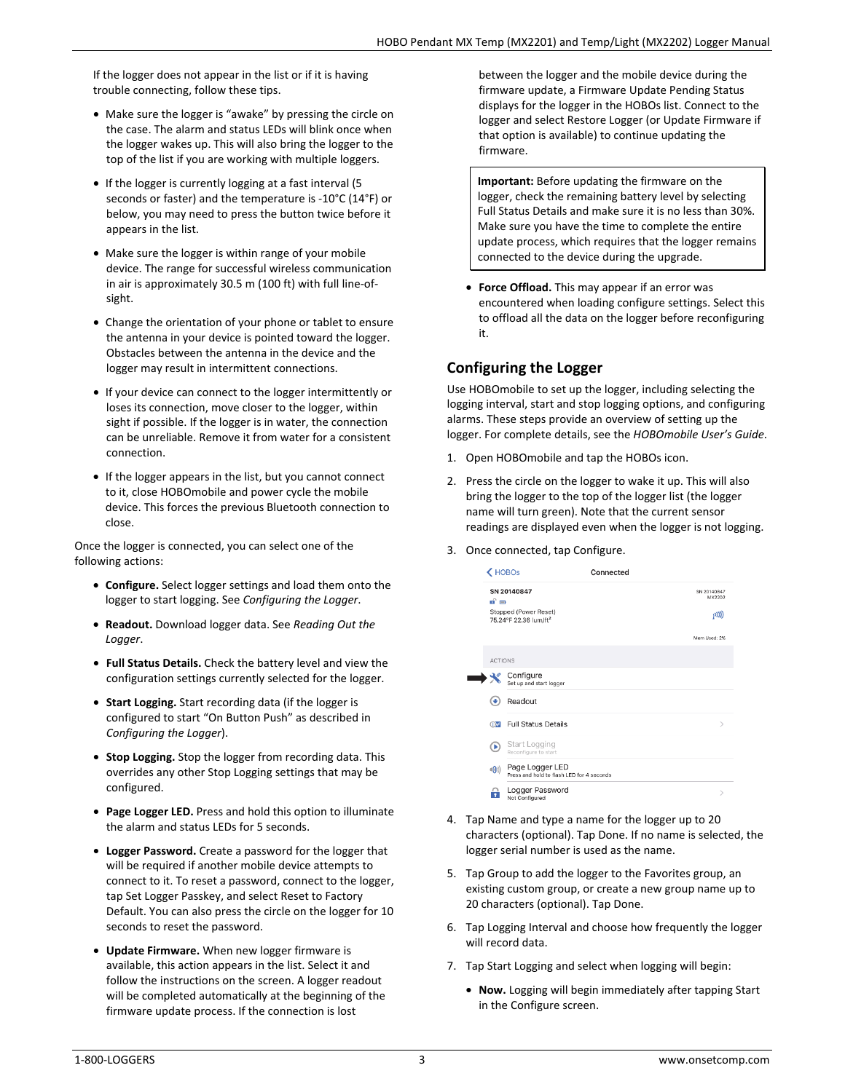If the logger does not appear in the list or if it is having trouble connecting, follow these tips.

- Make sure the logger is "awake" by pressing the circle on the case. The alarm and status LEDs will blink once when the logger wakes up. This will also bring the logger to the top of the list if you are working with multiple loggers.
- If the logger is currently logging at a fast interval (5 seconds or faster) and the temperature is -10°C (14°F) or below, you may need to press the button twice before it appears in the list.
- Make sure the logger is within range of your mobile device. The range for successful wireless communication in air is approximately 30.5 m (100 ft) with full line-ofsight.
- Change the orientation of your phone or tablet to ensure the antenna in your device is pointed toward the logger. Obstacles between the antenna in the device and the logger may result in intermittent connections.
- If your device can connect to the logger intermittently or loses its connection, move closer to the logger, within sight if possible. If the logger is in water, the connection can be unreliable. Remove it from water for a consistent connection.
- If the logger appears in the list, but you cannot connect to it, close HOBOmobile and power cycle the mobile device. This forces the previous Bluetooth connection to close.

Once the logger is connected, you can select one of the following actions:

- **Configure.** Select logger settings and load them onto the logger to start logging. See *Configuring the Logger*.
- **Readout.** Download logger data. See *Reading Out the Logger*.
- **Full Status Details.** Check the battery level and view the configuration settings currently selected for the logger.
- **Start Logging.** Start recording data (if the logger is configured to start "On Button Push" as described in *Configuring the Logger*).
- **Stop Logging.** Stop the logger from recording data. This overrides any other Stop Logging settings that may be configured.
- **Page Logger LED.** Press and hold this option to illuminate the alarm and status LEDs for 5 seconds.
- **Logger Password.** Create a password for the logger that will be required if another mobile device attempts to connect to it. To reset a password, connect to the logger, tap Set Logger Passkey, and select Reset to Factory Default. You can also press the circle on the logger for 10 seconds to reset the password.
- **Update Firmware.** When new logger firmware is available, this action appears in the list. Select it and follow the instructions on the screen. A logger readout will be completed automatically at the beginning of the firmware update process. If the connection is lost

between the logger and the mobile device during the firmware update, a Firmware Update Pending Status displays for the logger in the HOBOs list. Connect to the logger and select Restore Logger (or Update Firmware if that option is available) to continue updating the firmware.

**Important:** Before updating the firmware on the logger, check the remaining battery level by selecting Full Status Details and make sure it is no less than 30%. Make sure you have the time to complete the entire update process, which requires that the logger remains connected to the device during the upgrade.

• **Force Offload.** This may appear if an error was encountered when loading configure settings. Select this to offload all the data on the logger before reconfiguring it.

## **Configuring the Logger**

Use HOBOmobile to set up the logger, including selecting the logging interval, start and stop logging options, and configuring alarms. These steps provide an overview of setting up the logger. For complete details, see the *HOBOmobile User's Guide*.

- 1. Open HOBOmobile and tap the HOBOs icon.
- 2. Press the circle on the logger to wake it up. This will also bring the logger to the top of the logger list (the logger name will turn green). Note that the current sensor readings are displayed even when the logger is not logging.
- 3. Once connected, tap Configure.

| K HOBOS               |                                                              | Connected |                       |
|-----------------------|--------------------------------------------------------------|-----------|-----------------------|
| பி⊟                   | SN 20140847                                                  |           | SN 20140847<br>MX2202 |
|                       | Stopped (Power Reset)<br>75.24°F 22.36 lum/ft <sup>2</sup>   |           | $_{1}$ (((c $_{1}$    |
|                       |                                                              |           | Mem Used: 2%          |
| <b>ACTIONS</b>        |                                                              |           |                       |
|                       | Configure<br>Set up and start logger                         |           |                       |
| v                     | Readout                                                      |           |                       |
| $\bigoplus$           | <b>Full Status Details</b>                                   |           | $\mathcal{E}$         |
| (B)                   | Start Logging<br>Reconfigure to start                        |           |                       |
| $\triangleleft (0)$ ) | Page Logger LED<br>Press and hold to flash LED for 4 seconds |           |                       |
|                       | Logger Password<br>Not Configured                            |           |                       |

- 4. Tap Name and type a name for the logger up to 20 characters (optional). Tap Done. If no name is selected, the logger serial number is used as the name.
- 5. Tap Group to add the logger to the Favorites group, an existing custom group, or create a new group name up to 20 characters (optional). Tap Done.
- 6. Tap Logging Interval and choose how frequently the logger will record data.
- 7. Tap Start Logging and select when logging will begin:
	- **Now.** Logging will begin immediately after tapping Start in the Configure screen.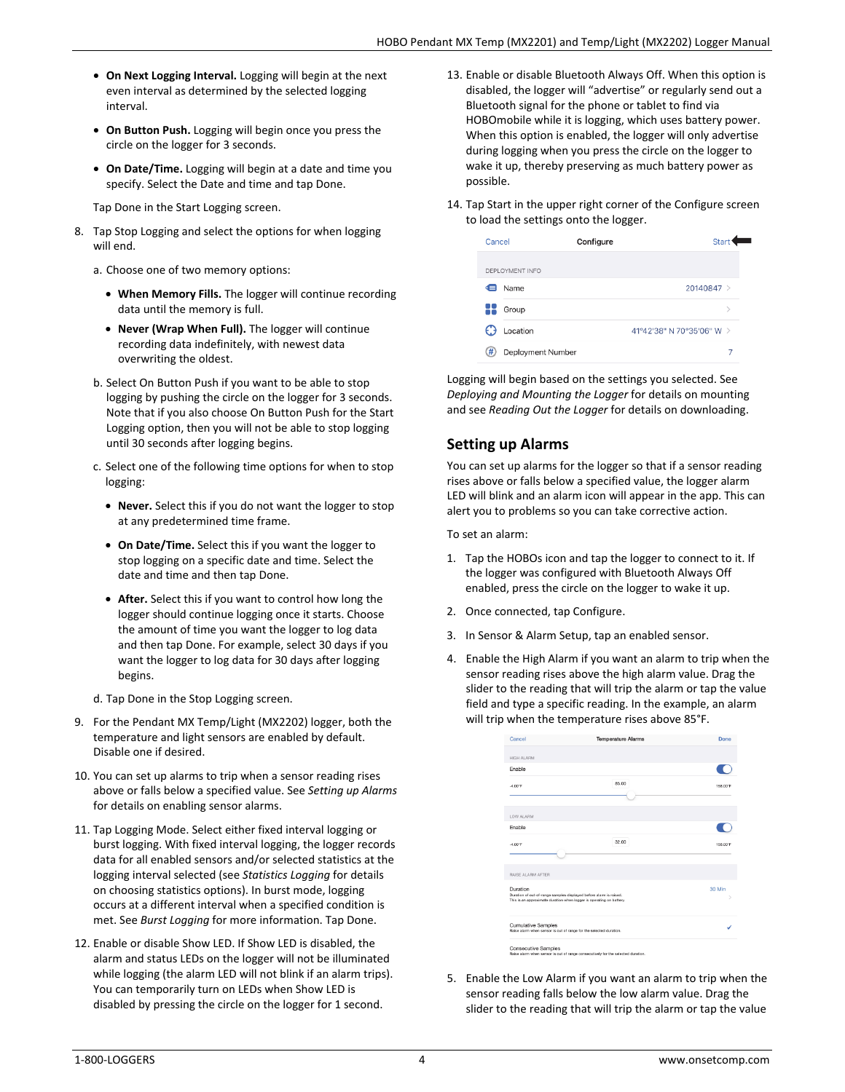- **On Next Logging Interval.** Logging will begin at the next even interval as determined by the selected logging interval.
- **On Button Push.** Logging will begin once you press the circle on the logger for 3 seconds.
- **On Date/Time.** Logging will begin at a date and time you specify. Select the Date and time and tap Done.

Tap Done in the Start Logging screen.

- 8. Tap Stop Logging and select the options for when logging will end.
	- a. Choose one of two memory options:
		- **When Memory Fills.** The logger will continue recording data until the memory is full.
		- **Never (Wrap When Full).** The logger will continue recording data indefinitely, with newest data overwriting the oldest.
	- b. Select On Button Push if you want to be able to stop logging by pushing the circle on the logger for 3 seconds. Note that if you also choose On Button Push for the Start Logging option, then you will not be able to stop logging until 30 seconds after logging begins.
	- c. Select one of the following time options for when to stop logging:
		- **Never.** Select this if you do not want the logger to stop at any predetermined time frame.
		- **On Date/Time.** Select this if you want the logger to stop logging on a specific date and time. Select the date and time and then tap Done.
		- **After.** Select this if you want to control how long the logger should continue logging once it starts. Choose the amount of time you want the logger to log data and then tap Done. For example, select 30 days if you want the logger to log data for 30 days after logging begins.
	- d. Tap Done in the Stop Logging screen.
- 9. For the Pendant MX Temp/Light (MX2202) logger, both the temperature and light sensors are enabled by default. Disable one if desired.
- 10. You can set up alarms to trip when a sensor reading rises above or falls below a specified value. See *Setting up Alarms* for details on enabling sensor alarms.
- 11. Tap Logging Mode. Select either fixed interval logging or burst logging. With fixed interval logging, the logger records data for all enabled sensors and/or selected statistics at the logging interval selected (see *Statistics Logging* for details on choosing statistics options). In burst mode, logging occurs at a different interval when a specified condition is met. See *Burst Logging* for more information. Tap Done.
- 12. Enable or disable Show LED. If Show LED is disabled, the alarm and status LEDs on the logger will not be illuminated while logging (the alarm LED will not blink if an alarm trips). You can temporarily turn on LEDs when Show LED is disabled by pressing the circle on the logger for 1 second.
- 13. Enable or disable Bluetooth Always Off. When this option is disabled, the logger will "advertise" or regularly send out a Bluetooth signal for the phone or tablet to find via HOBOmobile while it is logging, which uses battery power. When this option is enabled, the logger will only advertise during logging when you press the circle on the logger to wake it up, thereby preserving as much battery power as possible.
- 14. Tap Start in the upper right corner of the Configure screen to load the settings onto the logger.

| DEPLOYMENT INFO                       |  |
|---------------------------------------|--|
|                                       |  |
| 20140847 ><br>Name<br>⋐               |  |
| Group<br>\,                           |  |
| Location<br>41°42'38" N 70°35'06" W > |  |
| #<br>Deployment Number<br>7           |  |

Logging will begin based on the settings you selected. See *Deploying and Mounting the Logger* for details on mounting and see *Reading Out the Logger* for details on downloading.

## **Setting up Alarms**

You can set up alarms for the logger so that if a sensor reading rises above or falls below a specified value, the logger alarm LED will blink and an alarm icon will appear in the app. This can alert you to problems so you can take corrective action.

To set an alarm:

- 1. Tap the HOBOs icon and tap the logger to connect to it. If the logger was configured with Bluetooth Always Off enabled, press the circle on the logger to wake it up.
- 2. Once connected, tap Configure.
- 3. In Sensor & Alarm Setup, tap an enabled sensor.
- 4. Enable the High Alarm if you want an alarm to trip when the sensor reading rises above the high alarm value. Drag the slider to the reading that will trip the alarm or tap the value field and type a specific reading. In the example, an alarm will trip when the temperature rises above 85°F.

| Cancel                                                                                          | <b>Temperature Alarms</b>                                                        | Done     |
|-------------------------------------------------------------------------------------------------|----------------------------------------------------------------------------------|----------|
| <b>HIGH ALARM</b>                                                                               |                                                                                  |          |
| Enable                                                                                          |                                                                                  |          |
| $-4.00$ <sup>*</sup> F                                                                          | 85.00                                                                            | 158.00°F |
| LOW ALARM                                                                                       |                                                                                  |          |
| Enable                                                                                          |                                                                                  |          |
| $-4.00$ <sup>*</sup> F                                                                          | 32.00                                                                            | 158.00°F |
| RAISE ALARM AFTER                                                                               |                                                                                  |          |
| Duration<br>Duration of out-of-range samples displayed before alarm is raised.                  | This is an approximate duration when logger is operating on battery.             | 30 Min   |
| <b>Cumulative Samples</b><br>Raise alarm when sensor is out of range for the selected duration. |                                                                                  |          |
| <b>Consecutive Samples</b>                                                                      | Raise alarm when sensor is out of range consecutively for the selected duration. |          |

5. Enable the Low Alarm if you want an alarm to trip when the sensor reading falls below the low alarm value. Drag the slider to the reading that will trip the alarm or tap the value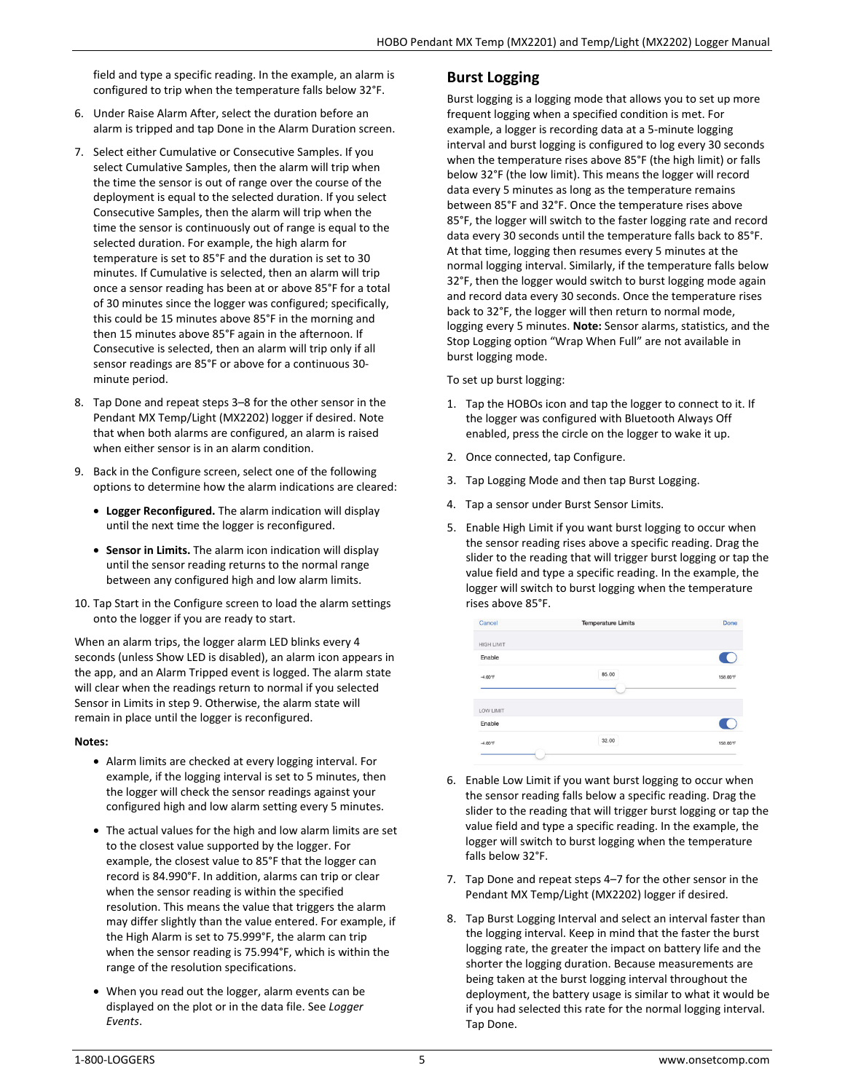field and type a specific reading. In the example, an alarm is configured to trip when the temperature falls below 32°F.

- 6. Under Raise Alarm After, select the duration before an alarm is tripped and tap Done in the Alarm Duration screen.
- 7. Select either Cumulative or Consecutive Samples. If you select Cumulative Samples, then the alarm will trip when the time the sensor is out of range over the course of the deployment is equal to the selected duration. If you select Consecutive Samples, then the alarm will trip when the time the sensor is continuously out of range is equal to the selected duration. For example, the high alarm for temperature is set to 85°F and the duration is set to 30 minutes. If Cumulative is selected, then an alarm will trip once a sensor reading has been at or above 85°F for a total of 30 minutes since the logger was configured; specifically, this could be 15 minutes above 85°F in the morning and then 15 minutes above 85°F again in the afternoon. If Consecutive is selected, then an alarm will trip only if all sensor readings are 85°F or above for a continuous 30 minute period.
- 8. Tap Done and repeat steps 3–8 for the other sensor in the Pendant MX Temp/Light (MX2202) logger if desired. Note that when both alarms are configured, an alarm is raised when either sensor is in an alarm condition.
- 9. Back in the Configure screen, select one of the following options to determine how the alarm indications are cleared:
	- **Logger Reconfigured.** The alarm indication will display until the next time the logger is reconfigured.
	- **Sensor in Limits.** The alarm icon indication will display until the sensor reading returns to the normal range between any configured high and low alarm limits.
- 10. Tap Start in the Configure screen to load the alarm settings onto the logger if you are ready to start.

When an alarm trips, the logger alarm LED blinks every 4 seconds (unless Show LED is disabled), an alarm icon appears in the app, and an Alarm Tripped event is logged. The alarm state will clear when the readings return to normal if you selected Sensor in Limits in step 9. Otherwise, the alarm state will remain in place until the logger is reconfigured.

#### **Notes:**

- Alarm limits are checked at every logging interval. For example, if the logging interval is set to 5 minutes, then the logger will check the sensor readings against your configured high and low alarm setting every 5 minutes.
- The actual values for the high and low alarm limits are set to the closest value supported by the logger. For example, the closest value to 85°F that the logger can record is 84.990°F. In addition, alarms can trip or clear when the sensor reading is within the specified resolution. This means the value that triggers the alarm may differ slightly than the value entered. For example, if the High Alarm is set to 75.999°F, the alarm can trip when the sensor reading is 75.994°F, which is within the range of the resolution specifications.
- When you read out the logger, alarm events can be displayed on the plot or in the data file. See *Logger Events*.

### **Burst Logging**

Burst logging is a logging mode that allows you to set up more frequent logging when a specified condition is met. For example, a logger is recording data at a 5-minute logging interval and burst logging is configured to log every 30 seconds when the temperature rises above 85°F (the high limit) or falls below 32°F (the low limit). This means the logger will record data every 5 minutes as long as the temperature remains between 85°F and 32°F. Once the temperature rises above 85°F, the logger will switch to the faster logging rate and record data every 30 seconds until the temperature falls back to 85°F. At that time, logging then resumes every 5 minutes at the normal logging interval. Similarly, if the temperature falls below 32°F, then the logger would switch to burst logging mode again and record data every 30 seconds. Once the temperature rises back to 32°F, the logger will then return to normal mode, logging every 5 minutes. **Note:** Sensor alarms, statistics, and the Stop Logging option "Wrap When Full" are not available in burst logging mode.

To set up burst logging:

- 1. Tap the HOBOs icon and tap the logger to connect to it. If the logger was configured with Bluetooth Always Off enabled, press the circle on the logger to wake it up.
- 2. Once connected, tap Configure.
- 3. Tap Logging Mode and then tap Burst Logging.
- 4. Tap a sensor under Burst Sensor Limits.
- 5. Enable High Limit if you want burst logging to occur when the sensor reading rises above a specific reading. Drag the slider to the reading that will trigger burst logging or tap the value field and type a specific reading. In the example, the logger will switch to burst logging when the temperature rises above 85°F.

| Cancel            | <b>Temperature Limits</b> | Done     |
|-------------------|---------------------------|----------|
| <b>HIGH LIMIT</b> |                           |          |
| Enable            |                           | 9        |
| $-4.00^{\circ}$ F | 85.00                     | 158,00°F |
|                   |                           |          |
| LOW LIMIT         |                           |          |
| Enable            |                           |          |
| $-4.00^{\circ}$ F | 32.00                     | 158.00°F |

- 6. Enable Low Limit if you want burst logging to occur when the sensor reading falls below a specific reading. Drag the slider to the reading that will trigger burst logging or tap the value field and type a specific reading. In the example, the logger will switch to burst logging when the temperature falls below 32°F.
- 7. Tap Done and repeat steps 4–7 for the other sensor in the Pendant MX Temp/Light (MX2202) logger if desired.
- 8. Tap Burst Logging Interval and select an interval faster than the logging interval. Keep in mind that the faster the burst logging rate, the greater the impact on battery life and the shorter the logging duration. Because measurements are being taken at the burst logging interval throughout the deployment, the battery usage is similar to what it would be if you had selected this rate for the normal logging interval. Tap Done.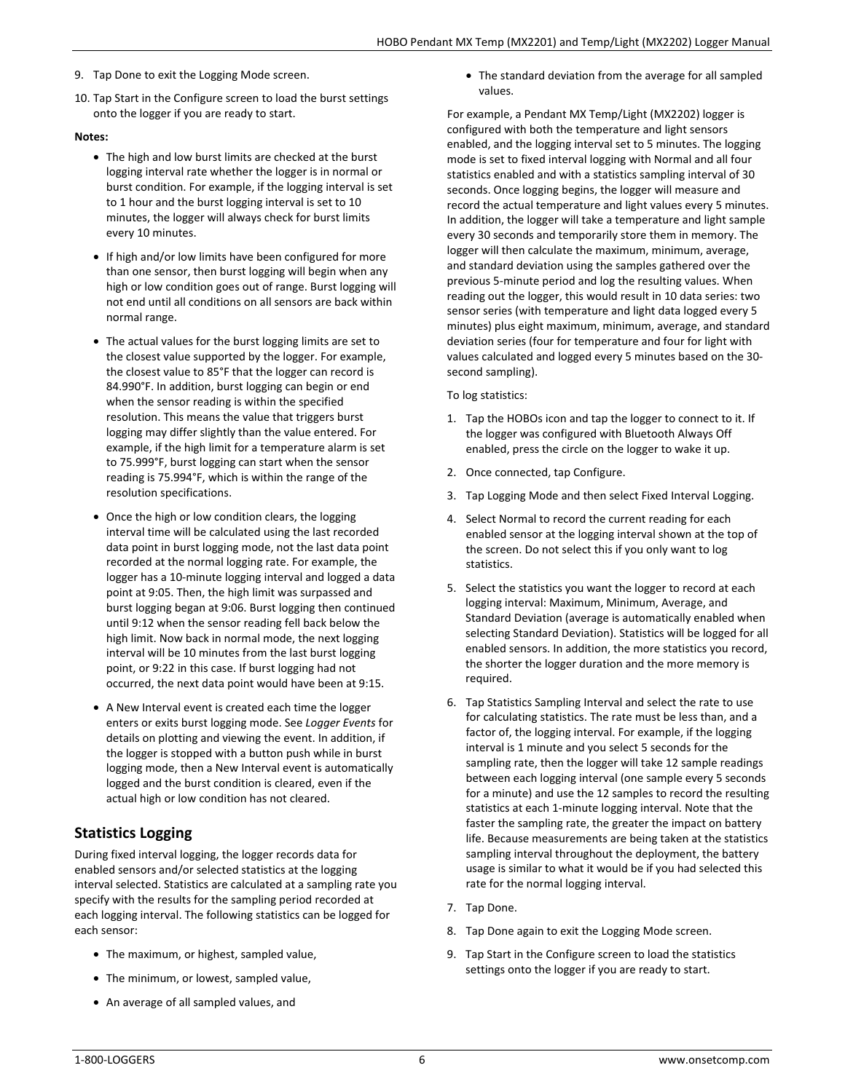- 9. Tap Done to exit the Logging Mode screen.
- 10. Tap Start in the Configure screen to load the burst settings onto the logger if you are ready to start.

### **Notes:**

- The high and low burst limits are checked at the burst logging interval rate whether the logger is in normal or burst condition. For example, if the logging interval is set to 1 hour and the burst logging interval is set to 10 minutes, the logger will always check for burst limits every 10 minutes.
- If high and/or low limits have been configured for more than one sensor, then burst logging will begin when any high or low condition goes out of range. Burst logging will not end until all conditions on all sensors are back within normal range.
- The actual values for the burst logging limits are set to the closest value supported by the logger. For example, the closest value to 85°F that the logger can record is 84.990°F. In addition, burst logging can begin or end when the sensor reading is within the specified resolution. This means the value that triggers burst logging may differ slightly than the value entered. For example, if the high limit for a temperature alarm is set to 75.999°F, burst logging can start when the sensor reading is 75.994°F, which is within the range of the resolution specifications.
- Once the high or low condition clears, the logging interval time will be calculated using the last recorded data point in burst logging mode, not the last data point recorded at the normal logging rate. For example, the logger has a 10-minute logging interval and logged a data point at 9:05. Then, the high limit was surpassed and burst logging began at 9:06. Burst logging then continued until 9:12 when the sensor reading fell back below the high limit. Now back in normal mode, the next logging interval will be 10 minutes from the last burst logging point, or 9:22 in this case. If burst logging had not occurred, the next data point would have been at 9:15.
- A New Interval event is created each time the logger enters or exits burst logging mode. See *Logger Events* for details on plotting and viewing the event. In addition, if the logger is stopped with a button push while in burst logging mode, then a New Interval event is automatically logged and the burst condition is cleared, even if the actual high or low condition has not cleared.

## **Statistics Logging**

During fixed interval logging, the logger records data for enabled sensors and/or selected statistics at the logging interval selected. Statistics are calculated at a sampling rate you specify with the results for the sampling period recorded at each logging interval. The following statistics can be logged for each sensor:

- The maximum, or highest, sampled value,
- The minimum, or lowest, sampled value,
- An average of all sampled values, and

• The standard deviation from the average for all sampled values.

For example, a Pendant MX Temp/Light (MX2202) logger is configured with both the temperature and light sensors enabled, and the logging interval set to 5 minutes. The logging mode is set to fixed interval logging with Normal and all four statistics enabled and with a statistics sampling interval of 30 seconds. Once logging begins, the logger will measure and record the actual temperature and light values every 5 minutes. In addition, the logger will take a temperature and light sample every 30 seconds and temporarily store them in memory. The logger will then calculate the maximum, minimum, average, and standard deviation using the samples gathered over the previous 5-minute period and log the resulting values. When reading out the logger, this would result in 10 data series: two sensor series (with temperature and light data logged every 5 minutes) plus eight maximum, minimum, average, and standard deviation series (four for temperature and four for light with values calculated and logged every 5 minutes based on the 30 second sampling).

#### To log statistics:

- 1. Tap the HOBOs icon and tap the logger to connect to it. If the logger was configured with Bluetooth Always Off enabled, press the circle on the logger to wake it up.
- 2. Once connected, tap Configure.
- 3. Tap Logging Mode and then select Fixed Interval Logging.
- 4. Select Normal to record the current reading for each enabled sensor at the logging interval shown at the top of the screen. Do not select this if you only want to log statistics.
- 5. Select the statistics you want the logger to record at each logging interval: Maximum, Minimum, Average, and Standard Deviation (average is automatically enabled when selecting Standard Deviation). Statistics will be logged for all enabled sensors. In addition, the more statistics you record, the shorter the logger duration and the more memory is required.
- 6. Tap Statistics Sampling Interval and select the rate to use for calculating statistics. The rate must be less than, and a factor of, the logging interval. For example, if the logging interval is 1 minute and you select 5 seconds for the sampling rate, then the logger will take 12 sample readings between each logging interval (one sample every 5 seconds for a minute) and use the 12 samples to record the resulting statistics at each 1-minute logging interval. Note that the faster the sampling rate, the greater the impact on battery life. Because measurements are being taken at the statistics sampling interval throughout the deployment, the battery usage is similar to what it would be if you had selected this rate for the normal logging interval.
- 7. Tap Done.
- 8. Tap Done again to exit the Logging Mode screen.
- 9. Tap Start in the Configure screen to load the statistics settings onto the logger if you are ready to start.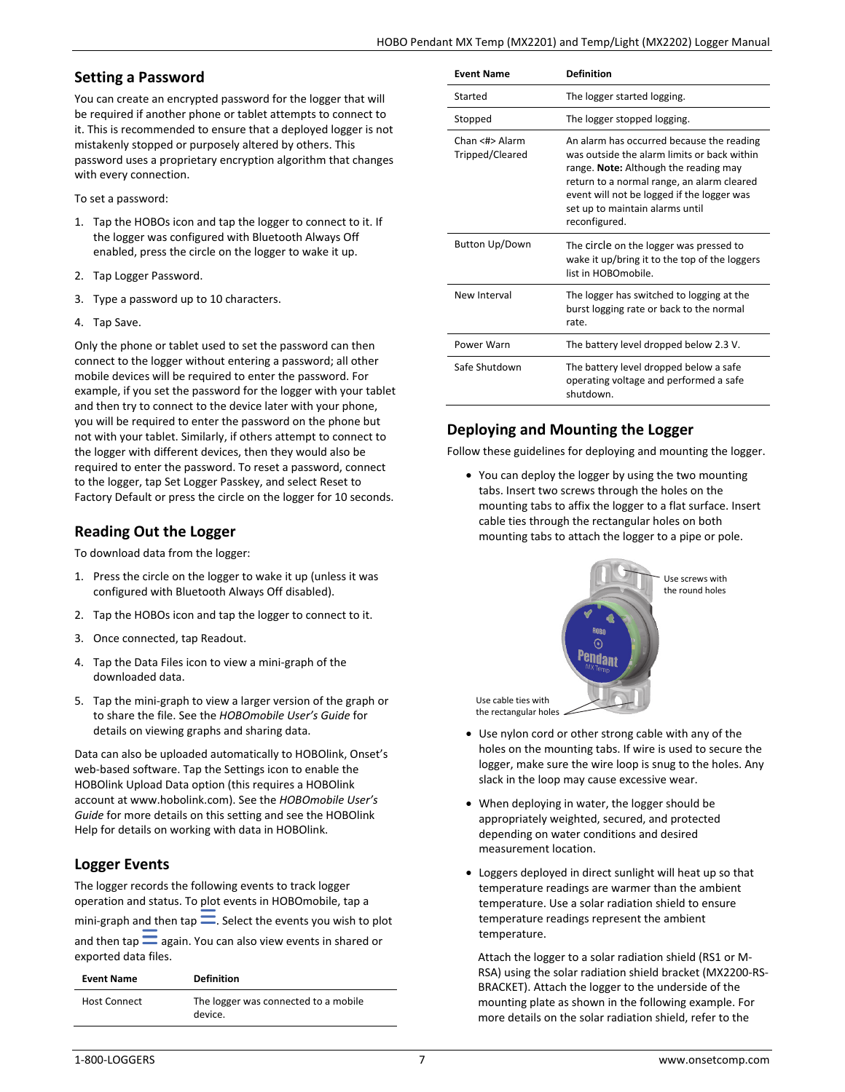### **Setting a Password**

You can create an encrypted password for the logger that will be required if another phone or tablet attempts to connect to it. This is recommended to ensure that a deployed logger is not mistakenly stopped or purposely altered by others. This password uses a proprietary encryption algorithm that changes with every connection.

To set a password:

- 1. Tap the HOBOs icon and tap the logger to connect to it. If the logger was configured with Bluetooth Always Off enabled, press the circle on the logger to wake it up.
- 2. Tap Logger Password.
- 3. Type a password up to 10 characters.
- 4. Tap Save.

Only the phone or tablet used to set the password can then connect to the logger without entering a password; all other mobile devices will be required to enter the password. For example, if you set the password for the logger with your tablet and then try to connect to the device later with your phone, you will be required to enter the password on the phone but not with your tablet. Similarly, if others attempt to connect to the logger with different devices, then they would also be required to enter the password. To reset a password, connect to the logger, tap Set Logger Passkey, and select Reset to Factory Default or press the circle on the logger for 10 seconds.

## **Reading Out the Logger**

To download data from the logger:

- 1. Press the circle on the logger to wake it up (unless it was configured with Bluetooth Always Off disabled).
- 2. Tap the HOBOs icon and tap the logger to connect to it.
- 3. Once connected, tap Readout.
- 4. Tap the Data Files icon to view a mini-graph of the downloaded data.
- 5. Tap the mini-graph to view a larger version of the graph or to share the file. See the *HOBOmobile User's Guide* for details on viewing graphs and sharing data.

Data can also be uploaded automatically to HOBOlink, Onset's web-based software. Tap the Settings icon to enable the HOBOlink Upload Data option (this requires a HOBOlink account at www.hobolink.com). See the *HOBOmobile User's Guide* for more details on this setting and see the HOBOlink Help for details on working with data in HOBOlink.

## **Logger Events**

The logger records the following events to track logger operation and status. To plot events in HOBOmobile, tap a mini-graph and then tap  $\equiv$ . Select the events you wish to plot and then tap  $\equiv$  again. You can also view events in shared or exported data files.

| <b>Event Name</b>   | <b>Definition</b>                               |
|---------------------|-------------------------------------------------|
| <b>Host Connect</b> | The logger was connected to a mobile<br>device. |

| <b>Fvent Name</b>                 | Definition                                                                                                                                                                                                                                                                        |
|-----------------------------------|-----------------------------------------------------------------------------------------------------------------------------------------------------------------------------------------------------------------------------------------------------------------------------------|
| Started                           | The logger started logging.                                                                                                                                                                                                                                                       |
| Stopped                           | The logger stopped logging.                                                                                                                                                                                                                                                       |
| Chan <#> Alarm<br>Tripped/Cleared | An alarm has occurred because the reading<br>was outside the alarm limits or back within<br>range. Note: Although the reading may<br>return to a normal range, an alarm cleared<br>event will not be logged if the logger was<br>set up to maintain alarms until<br>reconfigured. |
| Button Up/Down                    | The circle on the logger was pressed to<br>wake it up/bring it to the top of the loggers<br>list in HOROmobile.                                                                                                                                                                   |
| New Interval                      | The logger has switched to logging at the<br>burst logging rate or back to the normal<br>rate.                                                                                                                                                                                    |
| Power Warn                        | The battery level dropped below 2.3 V.                                                                                                                                                                                                                                            |
| Safe Shutdown                     | The battery level dropped below a safe<br>operating voltage and performed a safe<br>shutdown.                                                                                                                                                                                     |

## **Deploying and Mounting the Logger**

Follow these guidelines for deploying and mounting the logger.

• You can deploy the logger by using the two mounting tabs. Insert two screws through the holes on the mounting tabs to affix the logger to a flat surface. Insert cable ties through the rectangular holes on both mounting tabs to attach the logger to a pipe or pole.



- Use nylon cord or other strong cable with any of the holes on the mounting tabs. If wire is used to secure the logger, make sure the wire loop is snug to the holes. Any slack in the loop may cause excessive wear.
- When deploying in water, the logger should be appropriately weighted, secured, and protected depending on water conditions and desired measurement location.
- Loggers deployed in direct sunlight will heat up so that temperature readings are warmer than the ambient temperature. Use a solar radiation shield to ensure temperature readings represent the ambient temperature.

Attach the logger to a solar radiation shield (RS1 or M-RSA) using the solar radiation shield bracket (MX2200-RS-BRACKET). Attach the logger to the underside of the mounting plate as shown in the following example. For more details on the solar radiation shield, refer to the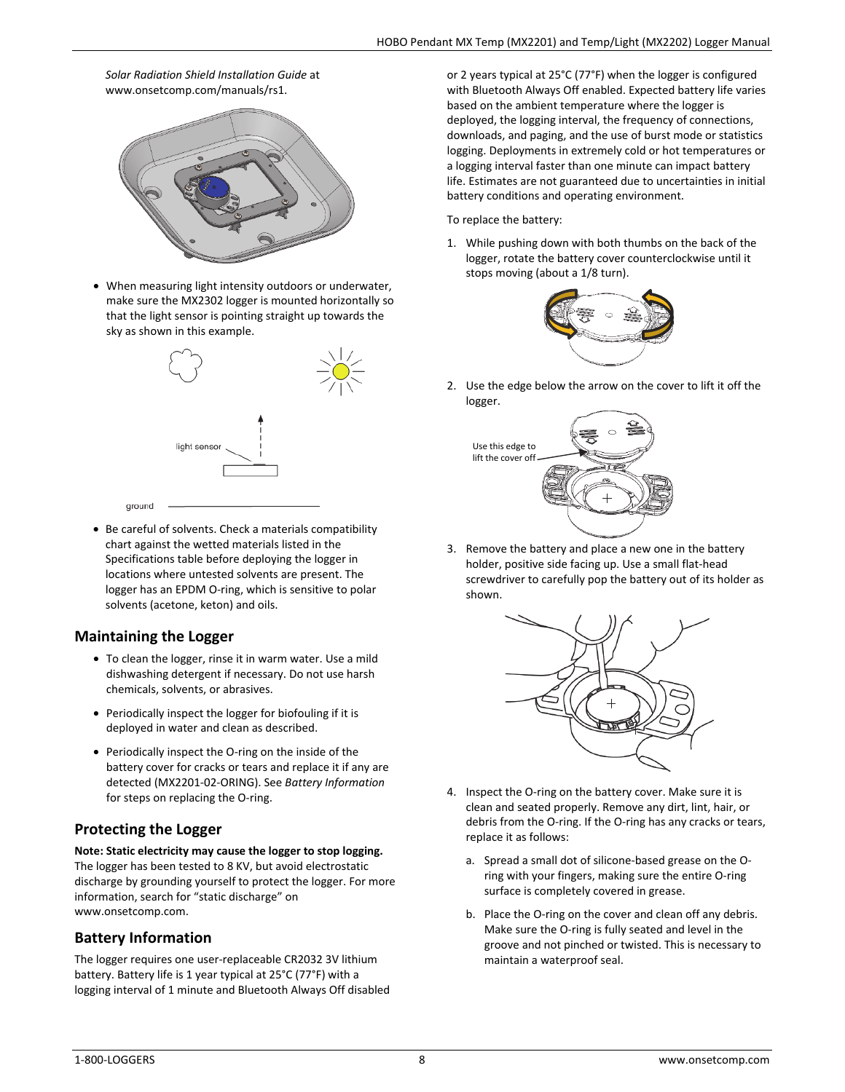### *Solar Radiation Shield Installation Guide* at www.onsetcomp.com/manuals/rs1.



• When measuring light intensity outdoors or underwater, make sure the MX2302 logger is mounted horizontally so that the light sensor is pointing straight up towards the sky as shown in this example.



• Be careful of solvents. Check a materials compatibility chart against the wetted materials listed in the Specifications table before deploying the logger in locations where untested solvents are present. The logger has an EPDM O-ring, which is sensitive to polar solvents (acetone, keton) and oils.

### **Maintaining the Logger**

- To clean the logger, rinse it in warm water. Use a mild dishwashing detergent if necessary. Do not use harsh chemicals, solvents, or abrasives.
- Periodically inspect the logger for biofouling if it is deployed in water and clean as described.
- Periodically inspect the O-ring on the inside of the battery cover for cracks or tears and replace it if any are detected (MX2201-02-ORING). See *Battery Information* for steps on replacing the O-ring.

## **Protecting the Logger**

**Note: Static electricity may cause the logger to stop logging.** The logger has been tested to 8 KV, but avoid electrostatic discharge by grounding yourself to protect the logger. For more information, search for "static discharge" on www.onsetcomp.com.

## **Battery Information**

The logger requires one user-replaceable CR2032 3V lithium battery. Battery life is 1 year typical at 25°C (77°F) with a logging interval of 1 minute and Bluetooth Always Off disabled or 2 years typical at 25°C (77°F) when the logger is configured with Bluetooth Always Off enabled. Expected battery life varies based on the ambient temperature where the logger is deployed, the logging interval, the frequency of connections, downloads, and paging, and the use of burst mode or statistics logging. Deployments in extremely cold or hot temperatures or a logging interval faster than one minute can impact battery life. Estimates are not guaranteed due to uncertainties in initial battery conditions and operating environment.

To replace the battery:

1. While pushing down with both thumbs on the back of the logger, rotate the battery cover counterclockwise until it stops moving (about a 1/8 turn).



2. Use the edge below the arrow on the cover to lift it off the logger.



3. Remove the battery and place a new one in the battery holder, positive side facing up. Use a small flat-head screwdriver to carefully pop the battery out of its holder as shown.



- 4. Inspect the O-ring on the battery cover. Make sure it is clean and seated properly. Remove any dirt, lint, hair, or debris from the O-ring. If the O-ring has any cracks or tears, replace it as follows:
	- a. Spread a small dot of silicone-based grease on the Oring with your fingers, making sure the entire O-ring surface is completely covered in grease.
	- b. Place the O-ring on the cover and clean off any debris. Make sure the O-ring is fully seated and level in the groove and not pinched or twisted. This is necessary to maintain a waterproof seal.